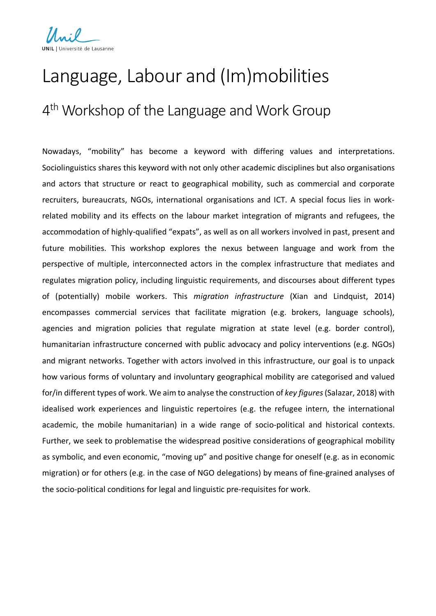

## Language, Labour and (Im)mobilities 4<sup>th</sup> Workshop of the Language and Work Group

Nowadays, "mobility" has become a keyword with differing values and interpretations. Sociolinguistics shares this keyword with not only other academic disciplines but also organisations and actors that structure or react to geographical mobility, such as commercial and corporate recruiters, bureaucrats, NGOs, international organisations and ICT. A special focus lies in workrelated mobility and its effects on the labour market integration of migrants and refugees, the accommodation of highly-qualified "expats", as well as on all workers involved in past, present and future mobilities. This workshop explores the nexus between language and work from the perspective of multiple, interconnected actors in the complex infrastructure that mediates and regulates migration policy, including linguistic requirements, and discourses about different types of (potentially) mobile workers. This *migration infrastructure* (Xian and Lindquist, 2014) encompasses commercial services that facilitate migration (e.g. brokers, language schools), agencies and migration policies that regulate migration at state level (e.g. border control), humanitarian infrastructure concerned with public advocacy and policy interventions (e.g. NGOs) and migrant networks. Together with actors involved in this infrastructure, our goal is to unpack how various forms of voluntary and involuntary geographical mobility are categorised and valued for/in different types of work. We aim to analyse the construction of *key figures*(Salazar, 2018) with idealised work experiences and linguistic repertoires (e.g. the refugee intern, the international academic, the mobile humanitarian) in a wide range of socio-political and historical contexts. Further, we seek to problematise the widespread positive considerations of geographical mobility as symbolic, and even economic, "moving up" and positive change for oneself (e.g. as in economic migration) or for others (e.g. in the case of NGO delegations) by means of fine-grained analyses of the socio-political conditions for legal and linguistic pre-requisites for work.